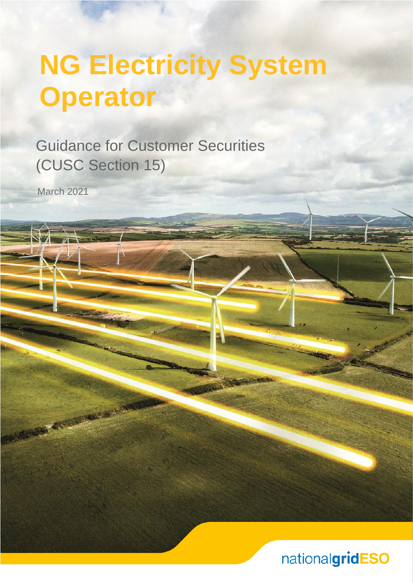# **NG Electricity System Operator**

Guidance for Customer Securities (CUSC Section 15)

March 2021

**BERKERANDER** 

nationalgridESO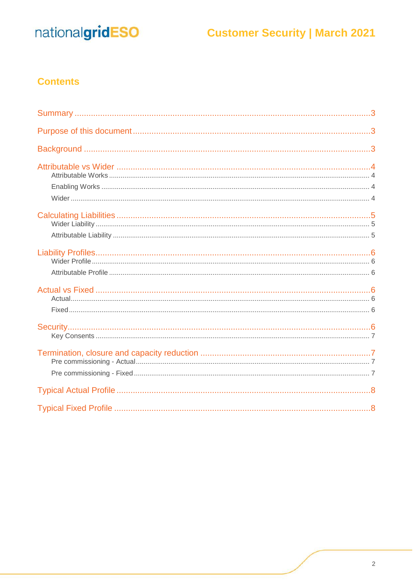# **Customer Security | March 2021**

### **Contents**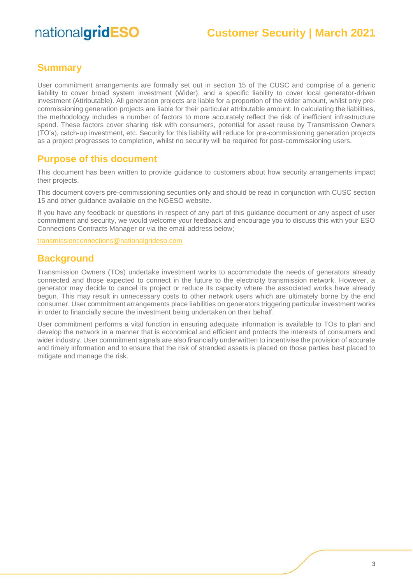### **Customer Security | March 2021**

### <span id="page-2-0"></span>**Summary**

User commitment arrangements are formally set out in section 15 of the CUSC and comprise of a generic liability to cover broad system investment (Wider), and a specific liability to cover local generator-driven investment (Attributable). All generation projects are liable for a proportion of the wider amount, whilst only precommissioning generation projects are liable for their particular attributable amount. In calculating the liabilities, the methodology includes a number of factors to more accurately reflect the risk of inefficient infrastructure spend. These factors cover sharing risk with consumers, potential for asset reuse by Transmission Owners (TO's), catch-up investment, etc. Security for this liability will reduce for pre-commissioning generation projects as a project progresses to completion, whilst no security will be required for post-commissioning users.

### <span id="page-2-1"></span>**Purpose of this document**

This document has been written to provide guidance to customers about how security arrangements impact their projects.

This document covers pre-commissioning securities only and should be read in conjunction with CUSC section 15 and other guidance available on the NGESO website.

If you have any feedback or questions in respect of any part of this guidance document or any aspect of user commitment and security, we would welcome your feedback and encourage you to discuss this with your ESO Connections Contracts Manager or via the email address below;

[transmissionconnections@nationalgrideso.com](mailto:transmissionconnections@nationalgrideso.com)

### <span id="page-2-2"></span>**Background**

Transmission Owners (TOs) undertake investment works to accommodate the needs of generators already connected and those expected to connect in the future to the electricity transmission network. However, a generator may decide to cancel its project or reduce its capacity where the associated works have already begun. This may result in unnecessary costs to other network users which are ultimately borne by the end consumer. User commitment arrangements place liabilities on generators triggering particular investment works in order to financially secure the investment being undertaken on their behalf.

User commitment performs a vital function in ensuring adequate information is available to TOs to plan and develop the network in a manner that is economical and efficient and protects the interests of consumers and wider industry. User commitment signals are also financially underwritten to incentivise the provision of accurate and timely information and to ensure that the risk of stranded assets is placed on those parties best placed to mitigate and manage the risk.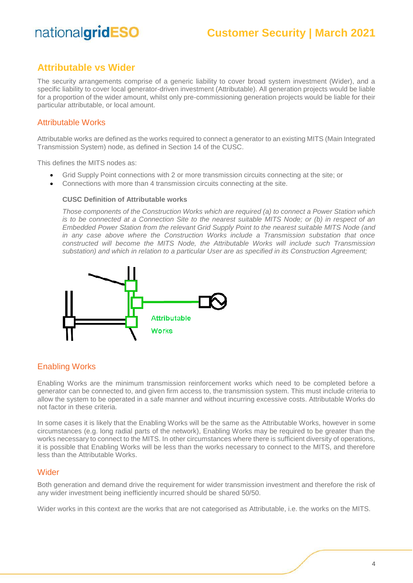# **Customer Security | March 2021**

### <span id="page-3-0"></span>**Attributable vs Wider**

The security arrangements comprise of a generic liability to cover broad system investment (Wider), and a specific liability to cover local generator-driven investment (Attributable). All generation projects would be liable for a proportion of the wider amount, whilst only pre-commissioning generation projects would be liable for their particular attributable, or local amount.

### <span id="page-3-1"></span>Attributable Works

Attributable works are defined as the works required to connect a generator to an existing MITS (Main Integrated Transmission System) node, as defined in Section 14 of the CUSC.

This defines the MITS nodes as:

- Grid Supply Point connections with 2 or more transmission circuits connecting at the site; or
- Connections with more than 4 transmission circuits connecting at the site.

#### **CUSC Definition of Attributable works**

*Those components of the Construction Works which are required (a) to connect a Power Station which is to be connected at a Connection Site to the nearest suitable MITS Node; or (b) in respect of an Embedded Power Station from the relevant Grid Supply Point to the nearest suitable MITS Node (and in any case above where the Construction Works include a Transmission substation that once constructed will become the MITS Node, the Attributable Works will include such Transmission substation) and which in relation to a particular User are as specified in its Construction Agreement;*



### <span id="page-3-2"></span>Enabling Works

Enabling Works are the minimum transmission reinforcement works which need to be completed before a generator can be connected to, and given firm access to, the transmission system. This must include criteria to allow the system to be operated in a safe manner and without incurring excessive costs. Attributable Works do not factor in these criteria.

In some cases it is likely that the Enabling Works will be the same as the Attributable Works, however in some circumstances (e.g. long radial parts of the network), Enabling Works may be required to be greater than the works necessary to connect to the MITS. In other circumstances where there is sufficient diversity of operations, it is possible that Enabling Works will be less than the works necessary to connect to the MITS, and therefore less than the Attributable Works.

#### <span id="page-3-3"></span>**Wider**

Both generation and demand drive the requirement for wider transmission investment and therefore the risk of any wider investment being inefficiently incurred should be shared 50/50.

Wider works in this context are the works that are not categorised as Attributable, i.e. the works on the MITS.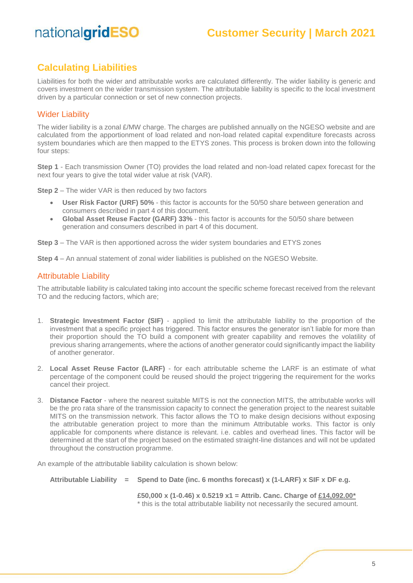# **Customer Security | March 2021**

### <span id="page-4-0"></span>**Calculating Liabilities**

Liabilities for both the wider and attributable works are calculated differently. The wider liability is generic and covers investment on the wider transmission system. The attributable liability is specific to the local investment driven by a particular connection or set of new connection projects.

### <span id="page-4-1"></span>Wider Liability

The wider liability is a zonal £/MW charge. The charges are published annually on the NGESO website and are calculated from the apportionment of load related and non-load related capital expenditure forecasts across system boundaries which are then mapped to the ETYS zones. This process is broken down into the following four steps:

**Step 1** - Each transmission Owner (TO) provides the load related and non-load related capex forecast for the next four years to give the total wider value at risk (VAR).

**Step 2** – The wider VAR is then reduced by two factors

- **User Risk Factor (URF) 50%** this factor is accounts for the 50/50 share between generation and consumers described in part 4 of this document.
- **Global Asset Reuse Factor (GARF) 33%** this factor is accounts for the 50/50 share between generation and consumers described in part 4 of this document.

**Step 3** – The VAR is then apportioned across the wider system boundaries and ETYS zones

**Step 4** – An annual statement of zonal wider liabilities is published on the NGESO Website.

#### <span id="page-4-2"></span>Attributable Liability

The attributable liability is calculated taking into account the specific scheme forecast received from the relevant TO and the reducing factors, which are;

- 1. **Strategic Investment Factor (SIF)** applied to limit the attributable liability to the proportion of the investment that a specific project has triggered. This factor ensures the generator isn't liable for more than their proportion should the TO build a component with greater capability and removes the volatility of previous sharing arrangements, where the actions of another generator could significantly impact the liability of another generator.
- 2. **Local Asset Reuse Factor (LARF)** for each attributable scheme the LARF is an estimate of what percentage of the component could be reused should the project triggering the requirement for the works cancel their project.
- 3. **Distance Factor** where the nearest suitable MITS is not the connection MITS, the attributable works will be the pro rata share of the transmission capacity to connect the generation project to the nearest suitable MITS on the transmission network. This factor allows the TO to make design decisions without exposing the attributable generation project to more than the minimum Attributable works. This factor is only applicable for components where distance is [relevant. i.e.](http://relevant.ie/) cables and overhead lines. This factor will be determined at the start of the project based on the estimated straight-line distances and will not be updated throughout the construction programme.

An example of the attributable liability calculation is shown below:

**Attributable Liability = Spend to Date (inc. 6 months forecast) x (1-LARF) x SIF x DF e.g.**

**£50,000 x (1-0.46) x 0.5219 x1 = Attrib. Canc. Charge of £14,092.00\*** \* this is the total attributable liability not necessarily the secured amount.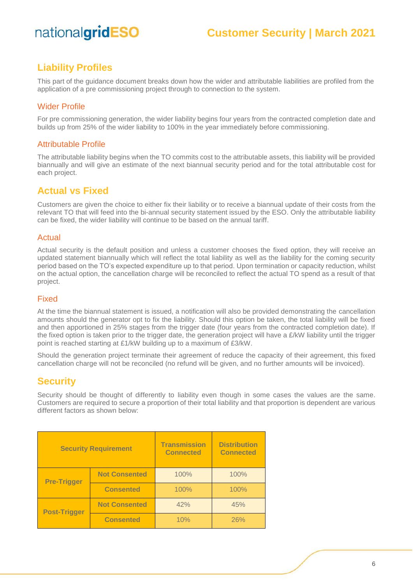## **Customer Security | March 2021**

### <span id="page-5-0"></span>**Liability Profiles**

This part of the guidance document breaks down how the wider and attributable liabilities are profiled from the application of a pre commissioning project through to connection to the system.

### <span id="page-5-1"></span>Wider Profile

For pre commissioning generation, the wider liability begins four years from the contracted completion date and builds up from 25% of the wider liability to 100% in the year immediately before commissioning.

#### <span id="page-5-2"></span>Attributable Profile

The attributable liability begins when the TO commits cost to the attributable assets, this liability will be provided biannually and will give an estimate of the next biannual security period and for the total attributable cost for each project.

### <span id="page-5-3"></span>**Actual vs Fixed**

Customers are given the choice to either fix their liability or to receive a biannual update of their costs from the relevant TO that will feed into the bi-annual security statement issued by the ESO. Only the attributable liability can be fixed, the wider liability will continue to be based on the annual tariff.

#### <span id="page-5-4"></span>Actual

Actual security is the default position and unless a customer chooses the fixed option, they will receive an updated statement biannually which will reflect the total liability as well as the liability for the coming security period based on the TO's expected expenditure up to that period. Upon termination or capacity reduction, whilst on the actual option, the cancellation charge will be reconciled to reflect the actual TO spend as a result of that project.

#### <span id="page-5-5"></span>Fixed

At the time the biannual statement is issued, a notification will also be provided demonstrating the cancellation amounts should the generator opt to fix the liability. Should this option be taken, the total liability will be fixed and then apportioned in 25% stages from the trigger date (four years from the contracted completion date). If the fixed option is taken prior to the trigger date, the generation project will have a £/kW liability until the trigger point is reached starting at £1/kW building up to a maximum of £3/kW.

Should the generation project terminate their agreement of reduce the capacity of their agreement, this fixed cancellation charge will not be reconciled (no refund will be given, and no further amounts will be invoiced).

### <span id="page-5-6"></span>**Security**

Security should be thought of differently to liability even though in some cases the values are the same. Customers are required to secure a proportion of their total liability and that proportion is dependent are various different factors as shown below:

| <b>Security Requirement</b> |                      | <b>Transmission</b><br><b>Connected</b> | <b>Distribution</b><br><b>Connected</b> |
|-----------------------------|----------------------|-----------------------------------------|-----------------------------------------|
| <b>Pre-Trigger</b>          | <b>Not Consented</b> | 100%                                    | 100%                                    |
|                             | <b>Consented</b>     | 100%                                    | 100%                                    |
| <b>Post-Trigger</b>         | <b>Not Consented</b> | 42%                                     | 45%                                     |
|                             | <b>Consented</b>     | 10%                                     | 26%                                     |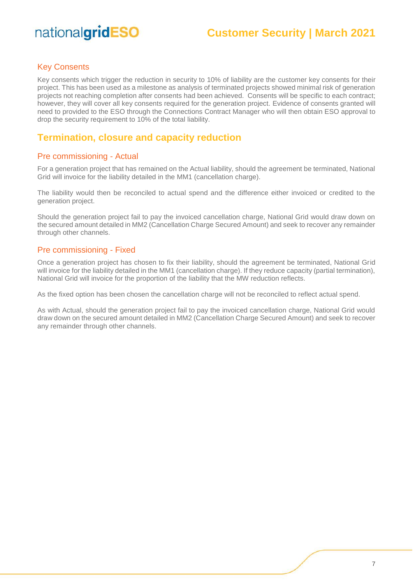### **Customer Security | March 2021**

### <span id="page-6-0"></span>Key Consents

Key consents which trigger the reduction in security to 10% of liability are the customer key consents for their project. This has been used as a milestone as analysis of terminated projects showed minimal risk of generation projects not reaching completion after consents had been achieved. Consents will be specific to each contract; however, they will cover all key consents required for the generation project. Evidence of consents granted will need to provided to the ESO through the Connections Contract Manager who will then obtain ESO approval to drop the security requirement to 10% of the total liability.

### <span id="page-6-1"></span>**Termination, closure and capacity reduction**

#### <span id="page-6-2"></span>Pre commissioning - Actual

For a generation project that has remained on the Actual liability, should the agreement be terminated, National Grid will invoice for the liability detailed in the MM1 (cancellation charge).

The liability would then be reconciled to actual spend and the difference either invoiced or credited to the generation project.

Should the generation project fail to pay the invoiced cancellation charge, National Grid would draw down on the secured amount detailed in MM2 (Cancellation Charge Secured Amount) and seek to recover any remainder through other channels.

#### <span id="page-6-3"></span>Pre commissioning - Fixed

Once a generation project has chosen to fix their liability, should the agreement be terminated, National Grid will invoice for the liability detailed in the MM1 (cancellation charge). If they reduce capacity (partial termination), National Grid will invoice for the proportion of the liability that the MW reduction reflects.

As the fixed option has been chosen the cancellation charge will not be reconciled to reflect actual spend.

As with Actual, should the generation project fail to pay the invoiced cancellation charge, National Grid would draw down on the secured amount detailed in MM2 (Cancellation Charge Secured Amount) and seek to recover any remainder through other channels.